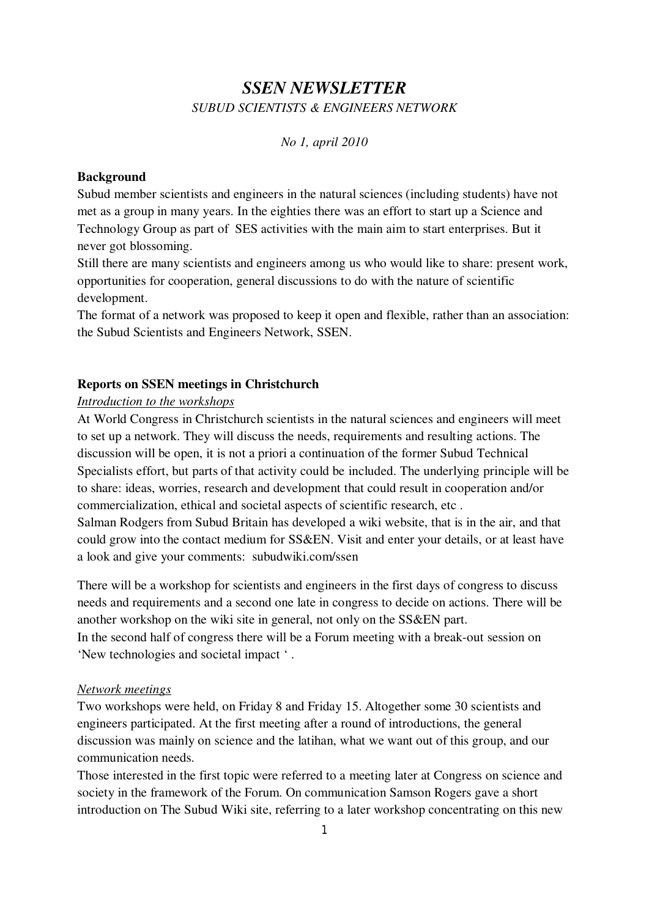# SSEN NEWSLETTER SUBUD SCIENTISTS & ENGINEERS NETWORK

#### No 1, april 2010

#### **Background**

Subud member scientists and engineers in the natural sciences (including students) have not met as a group in many years. In the eighties there was an effort to start up a Science and Technology Group as part of SES activities with the main aim to start enterprises. But it never got blossoming.

Still there are many scientists and engineers among us who would like to share: present work, opportunities for cooperation, general discussions to do with the nature of scientific development.

The format of a network was proposed to keep it open and flexible, rather than an association: the Subud Scientists and Engineers Network, SSEN.

#### Reports on SSEN meetings in Christchurch

#### Introduction to the workshops

At World Congress in Christchurch scientists in the natural sciences and engineers will meet to set up a network. They will discuss the needs, requirements and resulting actions. The discussion will be open, it is not a priori a continuation of the former Subud Technical Specialists effort, but parts of that activity could be included. The underlying principle will be to share: ideas, worries, research and development that could result in cooperation and/or commercialization, ethical and societal aspects of scientific research, etc . Salman Rodgers from Subud Britain has developed a wiki website, that is in the air, and that could grow into the contact medium for SS&EN. Visit and enter your details, or at least have a look and give your comments: subudwiki.com/ssen

There will be a workshop for scientists and engineers in the first days of congress to discuss needs and requirements and a second one late in congress to decide on actions. There will be another workshop on the wiki site in general, not only on the SS&EN part.

In the second half of congress there will be a Forum meeting with a break-out session on 'New technologies and societal impact ' .

#### Network meetings

Two workshops were held, on Friday 8 and Friday 15. Altogether some 30 scientists and engineers participated. At the first meeting after a round of introductions, the general discussion was mainly on science and the latihan, what we want out of this group, and our communication needs.

Those interested in the first topic were referred to a meeting later at Congress on science and society in the framework of the Forum. On communication Samson Rogers gave a short introduction on The Subud Wiki site, referring to a later workshop concentrating on this new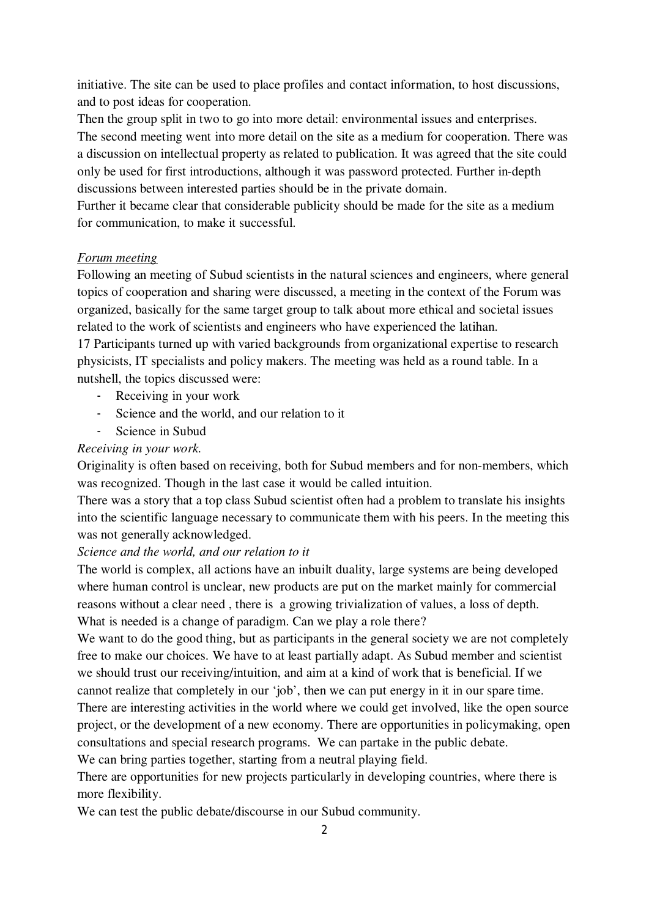initiative. The site can be used to place profiles and contact information, to host discussions, and to post ideas for cooperation.

Then the group split in two to go into more detail: environmental issues and enterprises. The second meeting went into more detail on the site as a medium for cooperation. There was a discussion on intellectual property as related to publication. It was agreed that the site could only be used for first introductions, although it was password protected. Further in-depth discussions between interested parties should be in the private domain.

Further it became clear that considerable publicity should be made for the site as a medium for communication, to make it successful.

#### Forum meeting

Following an meeting of Subud scientists in the natural sciences and engineers, where general topics of cooperation and sharing were discussed, a meeting in the context of the Forum was organized, basically for the same target group to talk about more ethical and societal issues related to the work of scientists and engineers who have experienced the latihan.

17 Participants turned up with varied backgrounds from organizational expertise to research physicists, IT specialists and policy makers. The meeting was held as a round table. In a nutshell, the topics discussed were:

- Receiving in your work
- Science and the world, and our relation to it
- Science in Subud

# Receiving in your work.

Originality is often based on receiving, both for Subud members and for non-members, which was recognized. Though in the last case it would be called intuition.

There was a story that a top class Subud scientist often had a problem to translate his insights into the scientific language necessary to communicate them with his peers. In the meeting this was not generally acknowledged.

## Science and the world, and our relation to it

The world is complex, all actions have an inbuilt duality, large systems are being developed where human control is unclear, new products are put on the market mainly for commercial reasons without a clear need , there is a growing trivialization of values, a loss of depth. What is needed is a change of paradigm. Can we play a role there?

We want to do the good thing, but as participants in the general society we are not completely free to make our choices. We have to at least partially adapt. As Subud member and scientist we should trust our receiving/intuition, and aim at a kind of work that is beneficial. If we cannot realize that completely in our 'job', then we can put energy in it in our spare time. There are interesting activities in the world where we could get involved, like the open source project, or the development of a new economy. There are opportunities in policymaking, open consultations and special research programs. We can partake in the public debate. We can bring parties together, starting from a neutral playing field.

There are opportunities for new projects particularly in developing countries, where there is more flexibility.

We can test the public debate/discourse in our Subud community.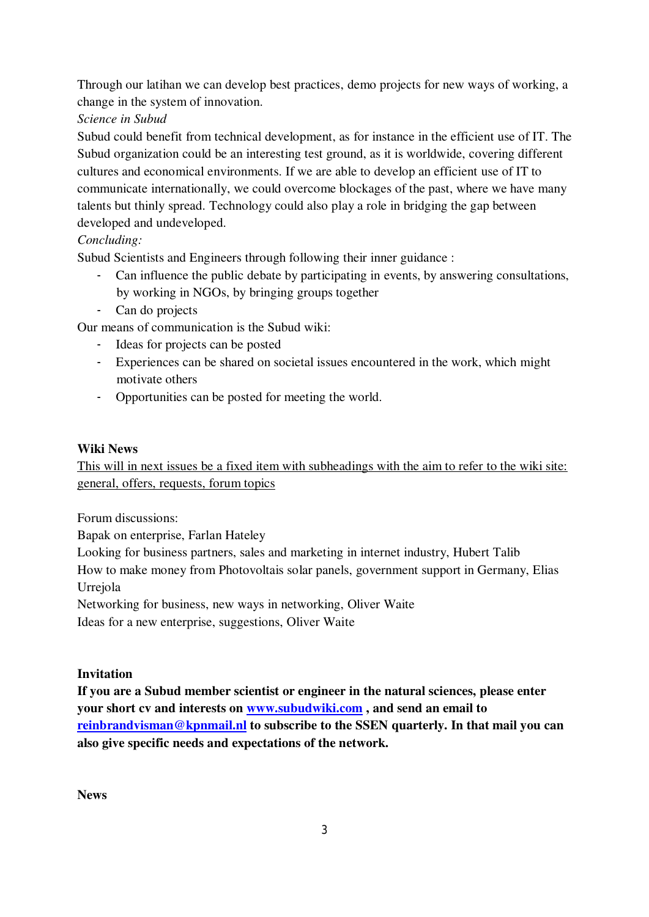Through our latihan we can develop best practices, demo projects for new ways of working, a change in the system of innovation.

Science in Subud

Subud could benefit from technical development, as for instance in the efficient use of IT. The Subud organization could be an interesting test ground, as it is worldwide, covering different cultures and economical environments. If we are able to develop an efficient use of IT to communicate internationally, we could overcome blockages of the past, where we have many talents but thinly spread. Technology could also play a role in bridging the gap between developed and undeveloped.

# Concluding:

Subud Scientists and Engineers through following their inner guidance :

- Can influence the public debate by participating in events, by answering consultations, by working in NGOs, by bringing groups together
- Can do projects

Our means of communication is the Subud wiki:

- Ideas for projects can be posted
- Experiences can be shared on societal issues encountered in the work, which might motivate others
- Opportunities can be posted for meeting the world.

## Wiki News

This will in next issues be a fixed item with subheadings with the aim to refer to the wiki site: general, offers, requests, forum topics

Forum discussions:

Bapak on enterprise, Farlan Hateley

Looking for business partners, sales and marketing in internet industry, Hubert Talib

How to make money from Photovoltais solar panels, government support in Germany, Elias Urrejola

Networking for business, new ways in networking, Oliver Waite

Ideas for a new enterprise, suggestions, Oliver Waite

## Invitation

If you are a Subud member scientist or engineer in the natural sciences, please enter your short cv and interests on www.subudwiki.com, and send an email to reinbrandvisman@kpnmail.nl to subscribe to the SSEN quarterly. In that mail you can also give specific needs and expectations of the network.

News